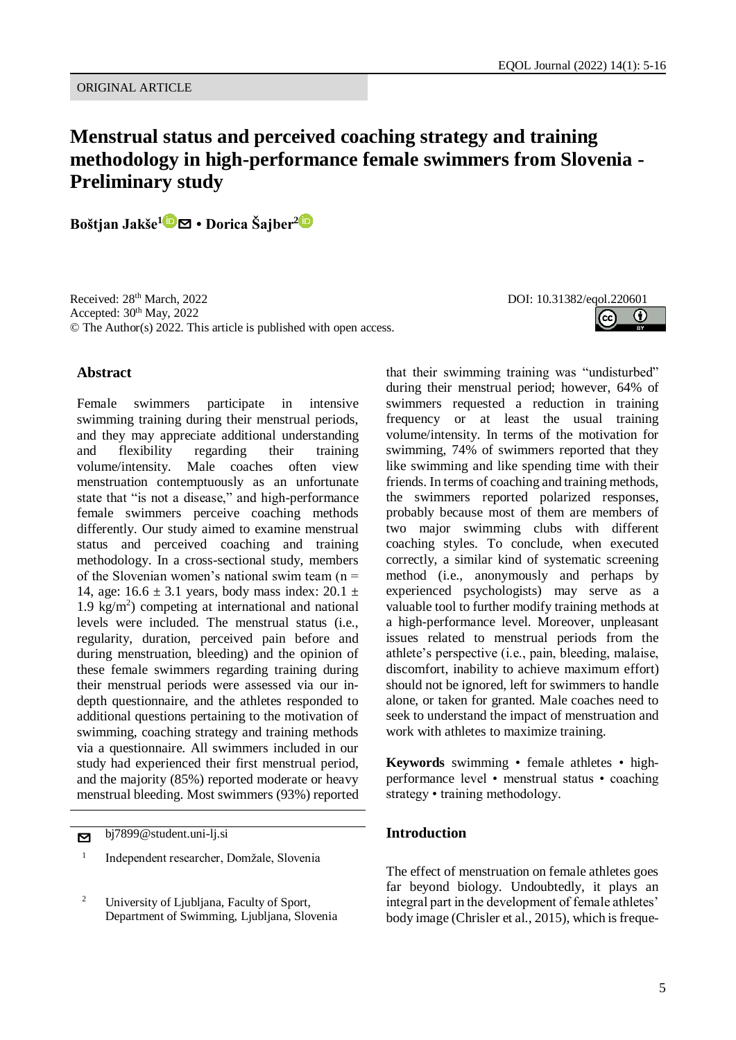# **Menstrual status and perceived coaching strategy and training methodology in high-performance female swimmers from Slovenia - Preliminary study**

**Boštjan Jakše<sup>1</sup>** [✉](mailto:bostjanjakse@hotmail.com?subject=EQOL%20Journal) **• Dorica Šajber<sup>2</sup>**

Received: 28<sup>th</sup> March, 2022 Accepted:  $30<sup>th</sup>$  May, 2022 © The Author(s) 2022. This article is published with open access.

#### DOI: 10.31382/eqol.220601



## **Abstract**

Female swimmers participate in intensive swimming training during their menstrual periods, and they may appreciate additional understanding and flexibility regarding their training volume/intensity. Male coaches often view menstruation contemptuously as an unfortunate state that "is not a disease," and high-performance female swimmers perceive coaching methods differently. Our study aimed to examine menstrual status and perceived coaching and training methodology. In a cross-sectional study, members of the Slovenian women's national swim team  $(n =$ 14, age:  $16.6 \pm 3.1$  years, body mass index:  $20.1 \pm$  $1.9 \text{ kg/m}^2$ ) competing at international and national levels were included. The menstrual status (i.e., regularity, duration, perceived pain before and during menstruation, bleeding) and the opinion of these female swimmers regarding training during their menstrual periods were assessed via our indepth questionnaire, and the athletes responded to additional questions pertaining to the motivation of swimming, coaching strategy and training methods via a questionnaire. All swimmers included in our study had experienced their first menstrual period, and the majority (85%) reported moderate or heavy menstrual bleeding. Most swimmers (93%) reported

bj7899@student.uni-lj.si

1 Independent researcher, Domžale, Slovenia that their swimming training was "undisturbed" during their menstrual period; however, 64% of swimmers requested a reduction in training frequency or at least the usual training volume/intensity. In terms of the motivation for swimming, 74% of swimmers reported that they like swimming and like spending time with their friends. In terms of coaching and training methods, the swimmers reported polarized responses, probably because most of them are members of two major swimming clubs with different coaching styles. To conclude, when executed correctly, a similar kind of systematic screening method (i.e., anonymously and perhaps by experienced psychologists) may serve as a valuable tool to further modify training methods at a high-performance level. Moreover, unpleasant issues related to menstrual periods from the athlete's perspective (i.e., pain, bleeding, malaise, discomfort, inability to achieve maximum effort) should not be ignored, left for swimmers to handle alone, or taken for granted. Male coaches need to seek to understand the impact of menstruation and work with athletes to maximize training.

**Keywords** swimming • female athletes • highperformance level • menstrual status • coaching strategy • training methodology.

### **Introduction**

The effect of menstruation on female athletes goes far beyond biology. Undoubtedly, it plays an integral part in the development of female athletes' body image (Chrisler et al., 2015), which is freque-

<sup>&</sup>lt;sup>2</sup> University of Ljubljana, Faculty of Sport, Department of Swimming, Ljubljana, Slovenia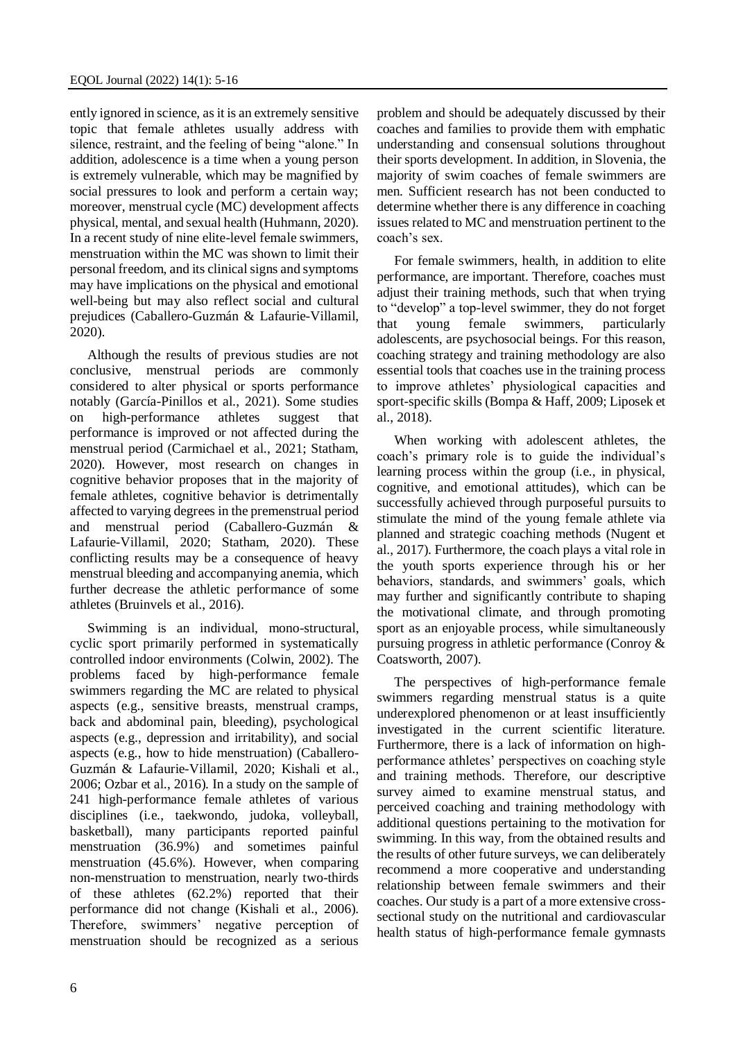ently ignored in science, as it is an extremely sensitive topic that female athletes usually address with silence, restraint, and the feeling of being "alone." In addition, adolescence is a time when a young person is extremely vulnerable, which may be magnified by social pressures to look and perform a certain way; moreover, menstrual cycle (MC) development affects physical, mental, and sexual health (Huhmann, 2020). In a recent study of nine elite-level female swimmers, menstruation within the MC was shown to limit their personal freedom, and its clinical signs and symptoms may have implications on the physical and emotional well-being but may also reflect social and cultural prejudices (Caballero-Guzmán & Lafaurie-Villamil, 2020).

Although the results of previous studies are not conclusive, menstrual periods are commonly considered to alter physical or sports performance notably (García-Pinillos et al., 2021). Some studies on high-performance athletes suggest that performance is improved or not affected during the menstrual period (Carmichael et al., 2021; Statham, 2020). However, most research on changes in cognitive behavior proposes that in the majority of female athletes, cognitive behavior is detrimentally affected to varying degrees in the premenstrual period and menstrual period (Caballero-Guzmán & Lafaurie-Villamil, 2020; Statham, 2020). These conflicting results may be a consequence of heavy menstrual bleeding and accompanying anemia, which further decrease the athletic performance of some athletes (Bruinvels et al., 2016).

Swimming is an individual, mono-structural, cyclic sport primarily performed in systematically controlled indoor environments (Colwin, 2002). The problems faced by high-performance female swimmers regarding the MC are related to physical aspects (e.g., sensitive breasts, menstrual cramps, back and abdominal pain, bleeding), psychological aspects (e.g., depression and irritability), and social aspects (e.g., how to hide menstruation) (Caballero-Guzmán & Lafaurie-Villamil, 2020; Kishali et al., 2006; Ozbar et al., 2016). In a study on the sample of 241 high-performance female athletes of various disciplines (i.e., taekwondo, judoka, volleyball, basketball), many participants reported painful menstruation (36.9%) and sometimes painful menstruation (45.6%). However, when comparing non-menstruation to menstruation, nearly two-thirds of these athletes (62.2%) reported that their performance did not change (Kishali et al., 2006). Therefore, swimmers' negative perception of menstruation should be recognized as a serious

problem and should be adequately discussed by their coaches and families to provide them with emphatic understanding and consensual solutions throughout their sports development. In addition, in Slovenia, the majority of swim coaches of female swimmers are men. Sufficient research has not been conducted to determine whether there is any difference in coaching issues related to MC and menstruation pertinent to the coach's sex.

For female swimmers, health, in addition to elite performance, are important. Therefore, coaches must adjust their training methods, such that when trying to "develop" a top-level swimmer, they do not forget that young female swimmers, particularly adolescents, are psychosocial beings. For this reason, coaching strategy and training methodology are also essential tools that coaches use in the training process to improve athletes' physiological capacities and sport-specific skills (Bompa & Haff, 2009; Liposek et al., 2018).

When working with adolescent athletes, the coach's primary role is to guide the individual's learning process within the group (i.e., in physical, cognitive, and emotional attitudes), which can be successfully achieved through purposeful pursuits to stimulate the mind of the young female athlete via planned and strategic coaching methods (Nugent et al., 2017). Furthermore, the coach plays a vital role in the youth sports experience through his or her behaviors, standards, and swimmers' goals, which may further and significantly contribute to shaping the motivational climate, and through promoting sport as an enjoyable process, while simultaneously pursuing progress in athletic performance (Conroy & Coatsworth, 2007).

The perspectives of high-performance female swimmers regarding menstrual status is a quite underexplored phenomenon or at least insufficiently investigated in the current scientific literature. Furthermore, there is a lack of information on highperformance athletes' perspectives on coaching style and training methods. Therefore, our descriptive survey aimed to examine menstrual status, and perceived coaching and training methodology with additional questions pertaining to the motivation for swimming. In this way, from the obtained results and the results of other future surveys, we can deliberately recommend a more cooperative and understanding relationship between female swimmers and their coaches. Our study is a part of a more extensive crosssectional study on the nutritional and cardiovascular health status of high-performance female gymnasts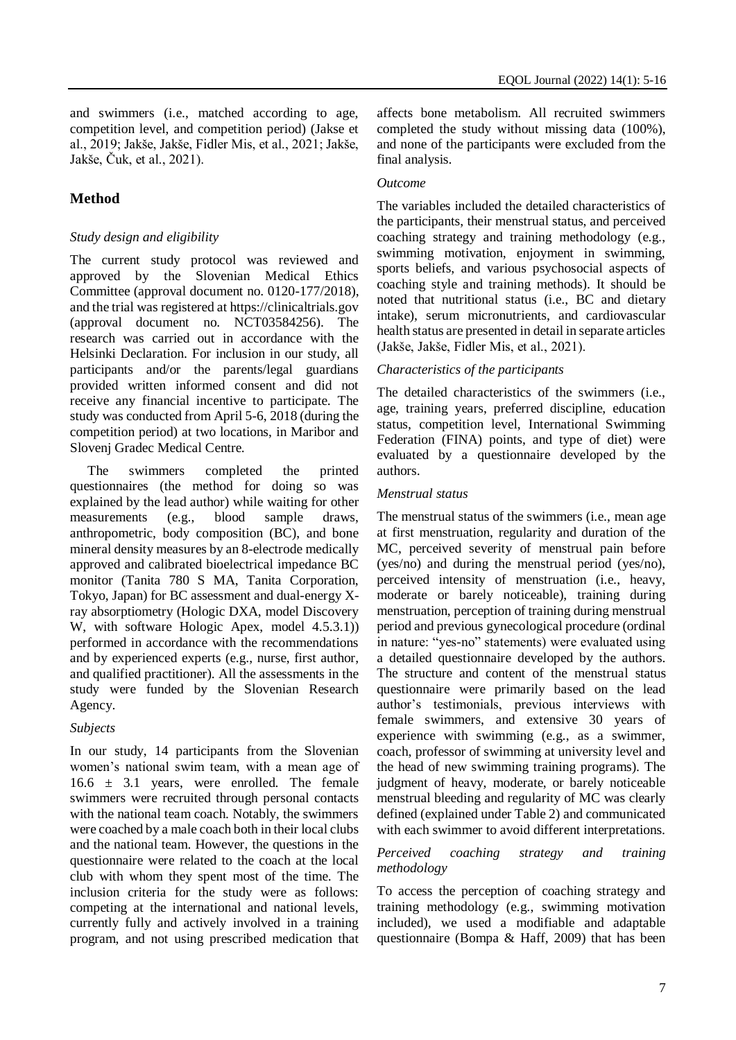and swimmers (i.e., matched according to age, competition level, and competition period) (Jakse et al., 2019; Jakše, Jakše, Fidler Mis, et al., 2021; Jakše, Jakše, Čuk, et al., 2021).

# **Method**

### *Study design and eligibility*

The current study protocol was reviewed and approved by the Slovenian Medical Ethics Committee (approval document no. 0120-177/2018), and the trial was registered at https://clinicaltrials.gov (approval document no. NCT03584256). The research was carried out in accordance with the Helsinki Declaration. For inclusion in our study, all participants and/or the parents/legal guardians provided written informed consent and did not receive any financial incentive to participate. The study was conducted from April 5-6, 2018 (during the competition period) at two locations, in Maribor and Slovenj Gradec Medical Centre.

The swimmers completed the printed questionnaires (the method for doing so was explained by the lead author) while waiting for other measurements (e.g., blood sample draws, anthropometric, body composition (BC), and bone mineral density measures by an 8-electrode medically approved and calibrated bioelectrical impedance BC monitor (Tanita 780 S MA, Tanita Corporation, Tokyo, Japan) for BC assessment and dual-energy Xray absorptiometry (Hologic DXA, model Discovery W, with software Hologic Apex, model 4.5.3.1)) performed in accordance with the recommendations and by experienced experts (e.g., nurse, first author, and qualified practitioner). All the assessments in the study were funded by the Slovenian Research Agency.

### *Subjects*

In our study, 14 participants from the Slovenian women's national swim team, with a mean age of  $16.6 \pm 3.1$  years, were enrolled. The female swimmers were recruited through personal contacts with the national team coach. Notably, the swimmers were coached by a male coach both in their local clubs and the national team. However, the questions in the questionnaire were related to the coach at the local club with whom they spent most of the time. The inclusion criteria for the study were as follows: competing at the international and national levels, currently fully and actively involved in a training program, and not using prescribed medication that

affects bone metabolism. All recruited swimmers completed the study without missing data (100%), and none of the participants were excluded from the final analysis.

### *Outcome*

The variables included the detailed characteristics of the participants, their menstrual status, and perceived coaching strategy and training methodology (e.g., swimming motivation, enjoyment in swimming, sports beliefs, and various psychosocial aspects of coaching style and training methods). It should be noted that nutritional status (i.e., BC and dietary intake), serum micronutrients, and cardiovascular health status are presented in detail in separate articles (Jakše, Jakše, Fidler Mis, et al., 2021).

### *Characteristics of the participants*

The detailed characteristics of the swimmers (i.e., age, training years, preferred discipline, education status, competition level, International Swimming Federation (FINA) points, and type of diet) were evaluated by a questionnaire developed by the authors.

#### *Menstrual status*

The menstrual status of the swimmers (i.e., mean age at first menstruation, regularity and duration of the MC, perceived severity of menstrual pain before (yes/no) and during the menstrual period (yes/no), perceived intensity of menstruation (i.e., heavy, moderate or barely noticeable), training during menstruation, perception of training during menstrual period and previous gynecological procedure (ordinal in nature: "yes-no" statements) were evaluated using a detailed questionnaire developed by the authors. The structure and content of the menstrual status questionnaire were primarily based on the lead author's testimonials, previous interviews with female swimmers, and extensive 30 years of experience with swimming (e.g., as a swimmer, coach, professor of swimming at university level and the head of new swimming training programs). The judgment of heavy, moderate, or barely noticeable menstrual bleeding and regularity of MC was clearly defined (explained under Table 2) and communicated with each swimmer to avoid different interpretations.

#### *Perceived coaching strategy and training methodology*

To access the perception of coaching strategy and training methodology (e.g., swimming motivation included), we used a modifiable and adaptable questionnaire (Bompa & Haff, 2009) that has been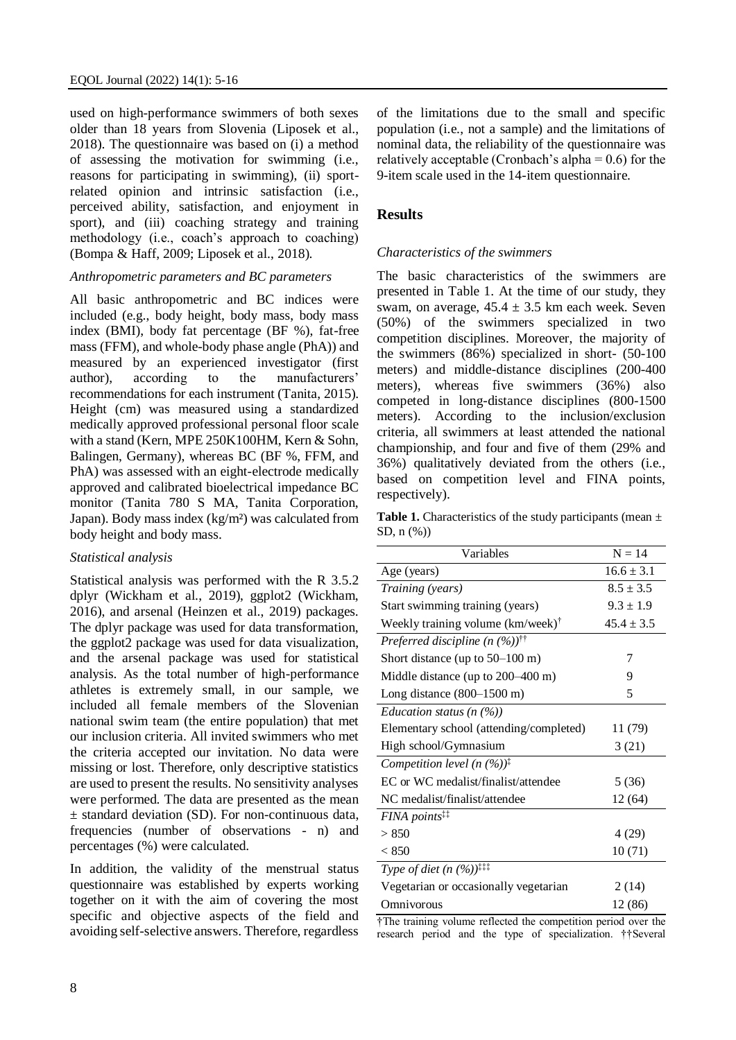used on high-performance swimmers of both sexes older than 18 years from Slovenia (Liposek et al., 2018). The questionnaire was based on (i) a method of assessing the motivation for swimming (i.e., reasons for participating in swimming), (ii) sportrelated opinion and intrinsic satisfaction (i.e., perceived ability, satisfaction, and enjoyment in sport), and (iii) coaching strategy and training methodology (i.e., coach's approach to coaching) (Bompa & Haff, 2009; Liposek et al., 2018).

#### *Anthropometric parameters and BC parameters*

All basic anthropometric and BC indices were included (e.g., body height, body mass, body mass index (BMI), body fat percentage (BF %), fat-free mass (FFM), and whole-body phase angle (PhA)) and measured by an experienced investigator (first author), according to the manufacturers' recommendations for each instrument (Tanita, 2015). Height (cm) was measured using a standardized medically approved professional personal floor scale with a stand (Kern, MPE 250K100HM, Kern & Sohn, Balingen, Germany), whereas BC (BF %, FFM, and PhA) was assessed with an eight-electrode medically approved and calibrated bioelectrical impedance BC monitor (Tanita 780 S MA, Tanita Corporation, Japan). Body mass index (kg/m²) was calculated from body height and body mass.

#### *Statistical analysis*

Statistical analysis was performed with the R 3.5.2 dplyr (Wickham et al., 2019), ggplot2 (Wickham, 2016), and arsenal (Heinzen et al., 2019) packages. The dplyr package was used for data transformation, the ggplot2 package was used for data visualization, and the arsenal package was used for statistical analysis. As the total number of high-performance athletes is extremely small, in our sample, we included all female members of the Slovenian national swim team (the entire population) that met our inclusion criteria. All invited swimmers who met the criteria accepted our invitation. No data were missing or lost. Therefore, only descriptive statistics are used to present the results. No sensitivity analyses were performed. The data are presented as the mean ± standard deviation (SD). For non-continuous data, frequencies (number of observations - n) and percentages (%) were calculated.

In addition, the validity of the menstrual status questionnaire was established by experts working together on it with the aim of covering the most specific and objective aspects of the field and avoiding self-selective answers. Therefore, regardless

of the limitations due to the small and specific population (i.e., not a sample) and the limitations of nominal data, the reliability of the questionnaire was relatively acceptable (Cronbach's alpha  $= 0.6$ ) for the 9-item scale used in the 14-item questionnaire.

#### **Results**

#### *Characteristics of the swimmers*

The basic characteristics of the swimmers are presented in Table 1. At the time of our study, they swam, on average,  $45.4 \pm 3.5$  km each week. Seven (50%) of the swimmers specialized in two competition disciplines. Moreover, the majority of the swimmers (86%) specialized in short- (50-100 meters) and middle-distance disciplines (200-400 meters), whereas five swimmers (36%) also competed in long-distance disciplines (800-1500 meters). According to the inclusion/exclusion criteria, all swimmers at least attended the national championship, and four and five of them (29% and 36%) qualitatively deviated from the others (i.e., based on competition level and FINA points, respectively).

Table 1. Characteristics of the study participants (mean  $\pm$ SD, n (%))

| Variables                                                | $N = 14$       |
|----------------------------------------------------------|----------------|
| Age (years)                                              | $16.6 \pm 3.1$ |
| Training (years)                                         | $8.5 \pm 3.5$  |
| Start swimming training (years)                          | $9.3 \pm 1.9$  |
| Weekly training volume $(km/week)$ <sup>†</sup>          | $45.4 \pm 3.5$ |
| Preferred discipline $(n \ (\%))$ <sup>††</sup>          |                |
| Short distance (up to $50-100$ m)                        | 7              |
| Middle distance (up to $200-400$ m)                      | 9              |
| Long distance $(800-1500 \text{ m})$                     | 5              |
| Education status $(n \, (%)$                             |                |
| Elementary school (attending/completed)                  | 11 (79)        |
| High school/Gymnasium                                    | 3(21)          |
| Competition level $(n (%)^{\dagger})$                    |                |
| EC or WC medalist/finalist/attendee                      | 5(36)          |
| NC medalist/finalist/attendee                            | 12 (64)        |
| FINA points <sup>##</sup>                                |                |
| > 850                                                    | 4(29)          |
| < 850                                                    | 10(71)         |
| <i>Type of diet</i> $(n (%))^{\ddagger\ddagger\ddagger}$ |                |
| Vegetarian or occasionally vegetarian                    | 2(14)          |
| Omnivorous                                               | 12 (86)        |

†The training volume reflected the competition period over the research period and the type of specialization. ††Several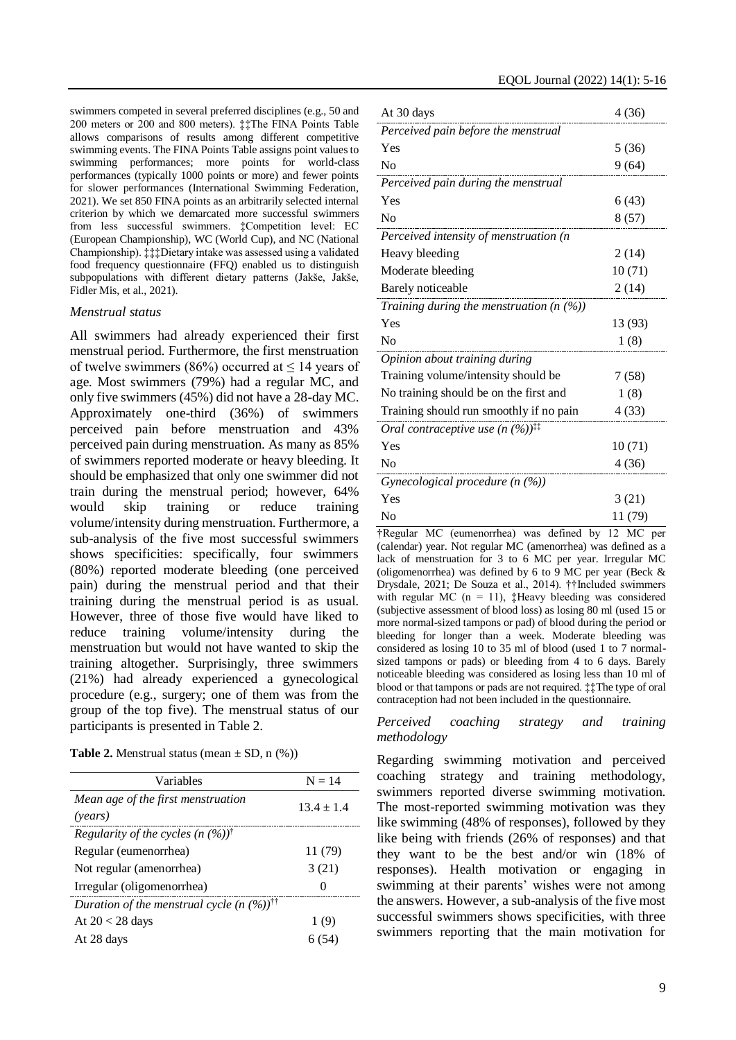swimmers competed in several preferred disciplines (e.g., 50 and 200 meters or 200 and 800 meters). ‡‡The FINA Points Table allows comparisons of results among different competitive swimming events. The FINA Points Table assigns point values to swimming performances; more points for world-class performances (typically 1000 points or more) and fewer points for slower performances (International Swimming Federation, 2021). We set 850 FINA points as an arbitrarily selected internal criterion by which we demarcated more successful swimmers from less successful swimmers. ‡Competition level: EC (European Championship), WC (World Cup), and NC (National Championship). ‡‡‡Dietary intake was assessed using a validated food frequency questionnaire (FFQ) enabled us to distinguish subpopulations with different dietary patterns (Jakše, Jakše, Fidler Mis, et al., 2021).

#### *Menstrual status*

All swimmers had already experienced their first menstrual period. Furthermore, the first menstruation of twelve swimmers (86%) occurred at  $\leq$  14 years of age. Most swimmers (79%) had a regular MC, and only five swimmers (45%) did not have a 28-day MC. Approximately one-third (36%) of swimmers perceived pain before menstruation and 43% perceived pain during menstruation. As many as 85% of swimmers reported moderate or heavy bleeding. It should be emphasized that only one swimmer did not train during the menstrual period; however, 64% would skip training or reduce training volume/intensity during menstruation. Furthermore, a sub-analysis of the five most successful swimmers shows specificities: specifically, four swimmers (80%) reported moderate bleeding (one perceived pain) during the menstrual period and that their training during the menstrual period is as usual. However, three of those five would have liked to reduce training volume/intensity during the menstruation but would not have wanted to skip the training altogether. Surprisingly, three swimmers (21%) had already experienced a gynecological procedure (e.g., surgery; one of them was from the group of the top five). The menstrual status of our participants is presented in Table 2.

|  | <b>Table 2.</b> Menstrual status (mean $\pm$ SD, n $(\%)$ ) |  |  |  |  |
|--|-------------------------------------------------------------|--|--|--|--|
|--|-------------------------------------------------------------|--|--|--|--|

| Variables                                                 | $N = 14$     |
|-----------------------------------------------------------|--------------|
| Mean age of the first menstruation<br>(years)             | $13.4 + 1.4$ |
| Regularity of the cycles $(n \, (%)^{\dagger})$           |              |
| Regular (eumenorrhea)                                     | 11 (79)      |
| Not regular (amenorrhea)                                  | 3(21)        |
| Irregular (oligomenorrhea)                                | 0            |
| Duration of the menstrual cycle $(n \, (%)$ <sup>††</sup> |              |
| At $20 < 28$ days                                         | 1 (9)        |
| At 28 days                                                | 6 (54)       |

| At 30 days                                                                  | 4(36)       |
|-----------------------------------------------------------------------------|-------------|
| Perceived pain before the menstrual                                         |             |
| Yes                                                                         | 5(36)       |
| N <sub>0</sub>                                                              | 9(64)       |
| Perceived pain during the menstrual                                         |             |
| Yes                                                                         | 6 (43)      |
| No                                                                          | 8(57)       |
| Perceived intensity of menstruation (n                                      |             |
| Heavy bleeding                                                              | 2(14)       |
| Moderate bleeding                                                           | 10(71)      |
| Barely noticeable                                                           | 2(14)       |
| Training during the menstruation $(n \, (%))$                               |             |
| Yes                                                                         | 13 (93)     |
| No                                                                          | 1(8)        |
| Opinion about training during                                               |             |
| Training volume/intensity should be                                         | 7 (58)      |
| No training should be on the first and                                      | 1(8)        |
| Training should run smoothly if no pain                                     | 4 (33)      |
| Oral contraceptive use $(n \, (%)$ <sup><math>\ddagger\ddagger</math></sup> |             |
| Yes                                                                         | 10(71)      |
| No                                                                          | 4(36)       |
| Gynecological procedure $(n \, (%)$                                         |             |
| Yes                                                                         | 3(21)       |
| N <sub>o</sub>                                                              | 11 (79)     |
| $\pm$ Requier MC (eumenorrhea) was defined by                               | 12 M $\cap$ |

†Regular MC (eumenorrhea) was defined by 12 MC per (calendar) year. Not regular MC (amenorrhea) was defined as a lack of menstruation for 3 to 6 MC per year. Irregular MC (oligomenorrhea) was defined by 6 to 9 MC per year (Beck  $\&$ Drysdale, 2021; De Souza et al., 2014). ††Included swimmers with regular MC ( $n = 11$ ), ‡Heavy bleeding was considered (subjective assessment of blood loss) as losing 80 ml (used 15 or more normal-sized tampons or pad) of blood during the period or bleeding for longer than a week. Moderate bleeding was considered as losing 10 to 35 ml of blood (used 1 to 7 normalsized tampons or pads) or bleeding from 4 to 6 days. Barely noticeable bleeding was considered as losing less than 10 ml of blood or that tampons or pads are not required. ‡‡The type of oral contraception had not been included in the questionnaire.

#### *Perceived coaching strategy and training methodology*

Regarding swimming motivation and perceived coaching strategy and training methodology, swimmers reported diverse swimming motivation. The most-reported swimming motivation was they like swimming (48% of responses), followed by they like being with friends (26% of responses) and that they want to be the best and/or win (18% of responses). Health motivation or engaging in swimming at their parents' wishes were not among the answers. However, a sub-analysis of the five most successful swimmers shows specificities, with three swimmers reporting that the main motivation for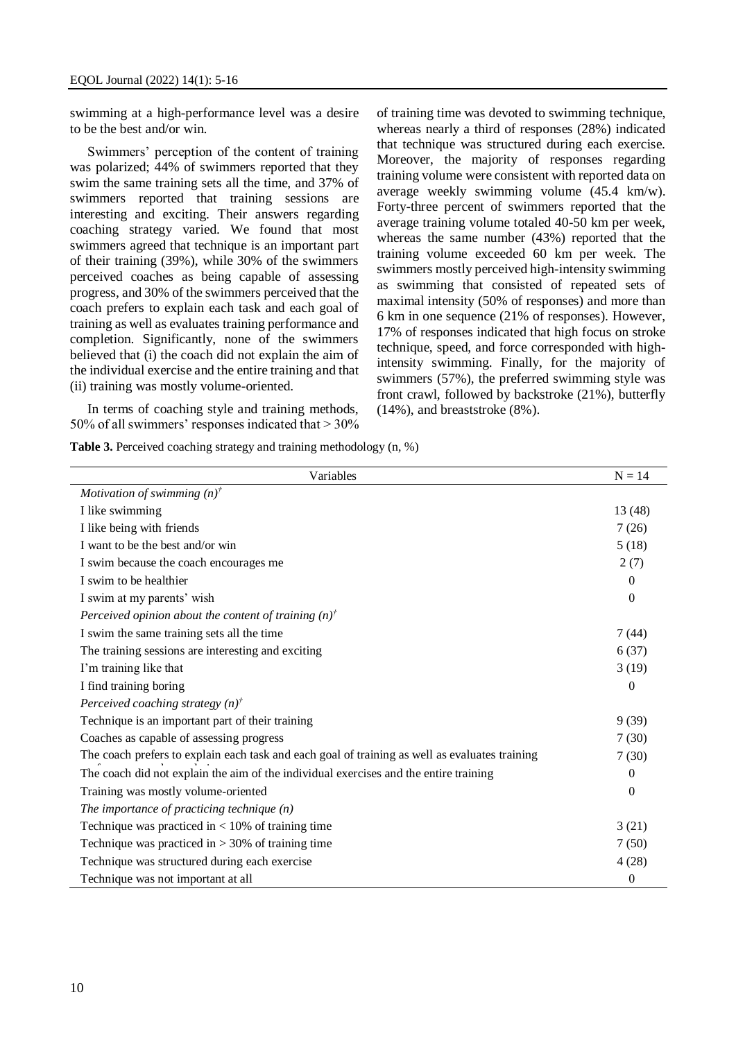swimming at a high-performance level was a desire to be the best and/or win.

Swimmers' perception of the content of training was polarized; 44% of swimmers reported that they swim the same training sets all the time, and 37% of swimmers reported that training sessions are interesting and exciting. Their answers regarding coaching strategy varied. We found that most swimmers agreed that technique is an important part of their training (39%), while 30% of the swimmers perceived coaches as being capable of assessing progress, and 30% of the swimmers perceived that the coach prefers to explain each task and each goal of training as well as evaluates training performance and completion. Significantly, none of the swimmers believed that (i) the coach did not explain the aim of the individual exercise and the entire training and that (ii) training was mostly volume-oriented.

In terms of coaching style and training methods, 50% of all swimmers' responses indicated that > 30% of training time was devoted to swimming technique, whereas nearly a third of responses (28%) indicated that technique was structured during each exercise. Moreover, the majority of responses regarding training volume were consistent with reported data on average weekly swimming volume (45.4 km/w). Forty-three percent of swimmers reported that the average training volume totaled 40-50 km per week, whereas the same number (43%) reported that the training volume exceeded 60 km per week. The swimmers mostly perceived high-intensity swimming as swimming that consisted of repeated sets of maximal intensity (50% of responses) and more than 6 km in one sequence (21% of responses). However, 17% of responses indicated that high focus on stroke technique, speed, and force corresponded with highintensity swimming. Finally, for the majority of swimmers (57%), the preferred swimming style was front crawl, followed by backstroke (21%), butterfly (14%), and breaststroke (8%).

**Table 3.** Perceived coaching strategy and training methodology (n, %)

| Variables                                                                                      | $N = 14$     |
|------------------------------------------------------------------------------------------------|--------------|
| Motivation of swimming $(n)^{t}$                                                               |              |
| I like swimming                                                                                | 13 (48)      |
| I like being with friends                                                                      | 7(26)        |
| I want to be the best and/or win                                                               | 5(18)        |
| I swim because the coach encourages me                                                         | 2(7)         |
| I swim to be healthier                                                                         | $\mathbf{0}$ |
| I swim at my parents' wish                                                                     | $\mathbf{0}$ |
| Perceived opinion about the content of training $(n)^{t}$                                      |              |
| I swim the same training sets all the time                                                     | 7(44)        |
| The training sessions are interesting and exciting                                             | 6(37)        |
| I'm training like that                                                                         | 3(19)        |
| I find training boring                                                                         | $\theta$     |
| Perceived coaching strategy $(n)^{f}$                                                          |              |
| Technique is an important part of their training                                               | 9(39)        |
| Coaches as capable of assessing progress                                                       | 7(30)        |
| The coach prefers to explain each task and each goal of training as well as evaluates training | 7(30)        |
| The coach did not explain the aim of the individual exercises and the entire training          | $\theta$     |
| Training was mostly volume-oriented                                                            | $\mathbf{0}$ |
| The importance of practicing technique $(n)$                                                   |              |
| Technique was practiced in $< 10\%$ of training time                                           | 3(21)        |
| Technique was practiced in $> 30\%$ of training time                                           | 7(50)        |
| Technique was structured during each exercise                                                  | 4(28)        |
| Technique was not important at all                                                             | $\mathbf{0}$ |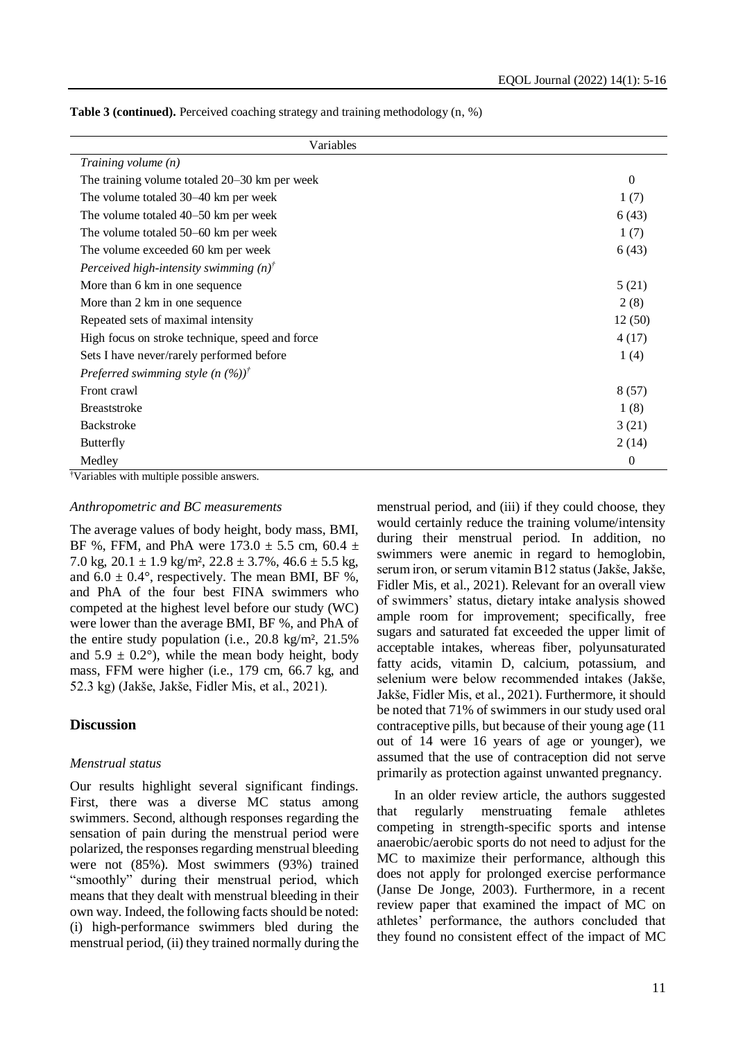| Variables                                        |          |
|--------------------------------------------------|----------|
| Training volume $(n)$                            |          |
| The training volume totaled 20–30 km per week    | $\Omega$ |
| The volume totaled 30–40 km per week             | 1(7)     |
| The volume totaled 40–50 km per week             | 6(43)    |
| The volume totaled 50–60 km per week             | 1(7)     |
| The volume exceeded 60 km per week               | 6(43)    |
| Perceived high-intensity swimming $(n)^{t}$      |          |
| More than 6 km in one sequence                   | 5(21)    |
| More than 2 km in one sequence                   | 2(8)     |
| Repeated sets of maximal intensity               | 12(50)   |
| High focus on stroke technique, speed and force  | 4(17)    |
| Sets I have never/rarely performed before        | 1(4)     |
| Preferred swimming style $(n \, (\%))^{\dagger}$ |          |
| Front crawl                                      | 8(57)    |
| <b>Breaststroke</b>                              | 1(8)     |
| <b>Backstroke</b>                                | 3(21)    |
| Butterfly                                        | 2(14)    |
| Medley                                           | $\theta$ |

**Table 3 (continued).** Perceived coaching strategy and training methodology (n, %)

†Variables with multiple possible answers.

#### *Anthropometric and BC measurements*

The average values of body height, body mass, BMI, BF %, FFM, and PhA were  $173.0 \pm 5.5$  cm,  $60.4 \pm 1.5$ 7.0 kg,  $20.1 \pm 1.9$  kg/m<sup>2</sup>,  $22.8 \pm 3.7$ %,  $46.6 \pm 5.5$  kg, and  $6.0 \pm 0.4^{\circ}$ , respectively. The mean BMI, BF %, and PhA of the four best FINA swimmers who competed at the highest level before our study (WC) were lower than the average BMI, BF %, and PhA of the entire study population (i.e., 20.8 kg/m², 21.5% and  $5.9 \pm 0.2^{\circ}$ ), while the mean body height, body mass, FFM were higher (i.e., 179 cm, 66.7 kg, and 52.3 kg) (Jakše, Jakše, Fidler Mis, et al., 2021).

#### **Discussion**

#### *Menstrual status*

Our results highlight several significant findings. First, there was a diverse MC status among swimmers. Second, although responses regarding the sensation of pain during the menstrual period were polarized, the responses regarding menstrual bleeding were not (85%). Most swimmers (93%) trained "smoothly" during their menstrual period, which means that they dealt with menstrual bleeding in their own way. Indeed, the following facts should be noted: (i) high-performance swimmers bled during the menstrual period, (ii) they trained normally during the menstrual period, and (iii) if they could choose, they would certainly reduce the training volume/intensity during their menstrual period. In addition, no swimmers were anemic in regard to hemoglobin, serum iron, or serum vitamin B12 status (Jakše, Jakše, Fidler Mis, et al., 2021). Relevant for an overall view of swimmers' status, dietary intake analysis showed ample room for improvement; specifically, free sugars and saturated fat exceeded the upper limit of acceptable intakes, whereas fiber, polyunsaturated fatty acids, vitamin D, calcium, potassium, and selenium were below recommended intakes (Jakše, Jakše, Fidler Mis, et al., 2021). Furthermore, it should be noted that 71% of swimmers in our study used oral contraceptive pills, but because of their young age (11 out of 14 were 16 years of age or younger), we assumed that the use of contraception did not serve primarily as protection against unwanted pregnancy.

In an older review article, the authors suggested that regularly menstruating female athletes competing in strength-specific sports and intense anaerobic/aerobic sports do not need to adjust for the MC to maximize their performance, although this does not apply for prolonged exercise performance (Janse De Jonge, 2003). Furthermore, in a recent review paper that examined the impact of MC on athletes' performance, the authors concluded that they found no consistent effect of the impact of MC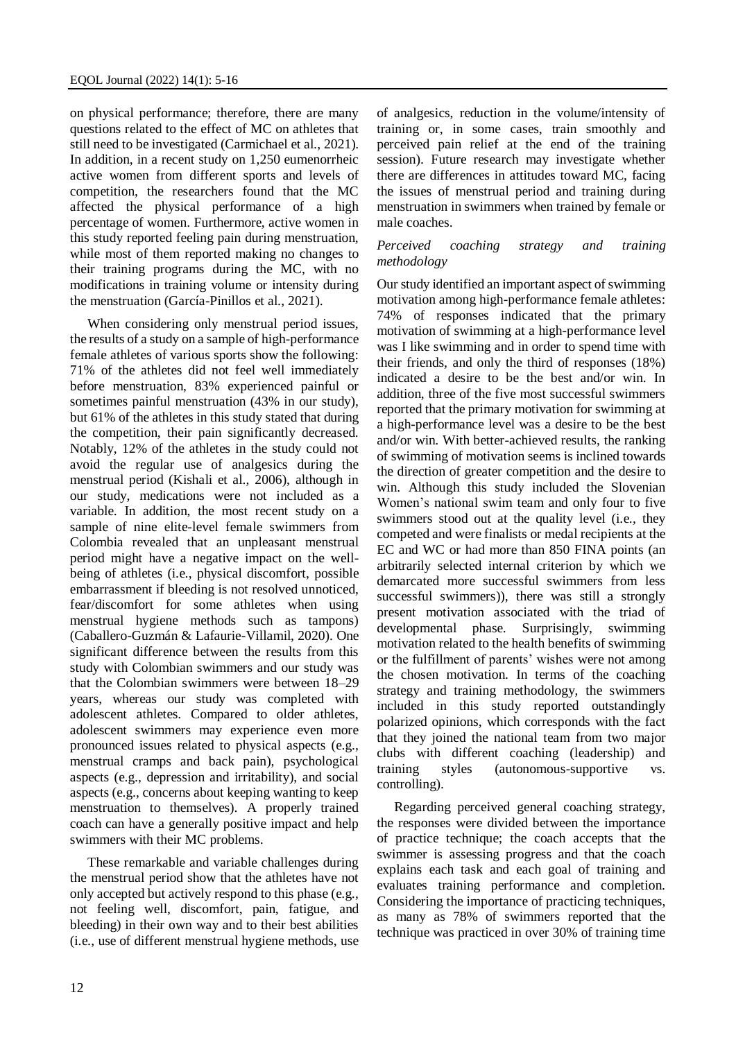on physical performance; therefore, there are many questions related to the effect of MC on athletes that still need to be investigated (Carmichael et al., 2021). In addition, in a recent study on 1,250 eumenorrheic active women from different sports and levels of competition, the researchers found that the MC affected the physical performance of a high percentage of women. Furthermore, active women in this study reported feeling pain during menstruation, while most of them reported making no changes to their training programs during the MC, with no modifications in training volume or intensity during the menstruation (García-Pinillos et al., 2021).

When considering only menstrual period issues, the results of a study on a sample of high-performance female athletes of various sports show the following: 71% of the athletes did not feel well immediately before menstruation, 83% experienced painful or sometimes painful menstruation (43% in our study), but 61% of the athletes in this study stated that during the competition, their pain significantly decreased. Notably, 12% of the athletes in the study could not avoid the regular use of analgesics during the menstrual period (Kishali et al., 2006), although in our study, medications were not included as a variable. In addition, the most recent study on a sample of nine elite-level female swimmers from Colombia revealed that an unpleasant menstrual period might have a negative impact on the wellbeing of athletes (i.e., physical discomfort, possible embarrassment if bleeding is not resolved unnoticed, fear/discomfort for some athletes when using menstrual hygiene methods such as tampons) (Caballero-Guzmán & Lafaurie-Villamil, 2020). One significant difference between the results from this study with Colombian swimmers and our study was that the Colombian swimmers were between 18–29 years, whereas our study was completed with adolescent athletes. Compared to older athletes, adolescent swimmers may experience even more pronounced issues related to physical aspects (e.g., menstrual cramps and back pain), psychological aspects (e.g., depression and irritability), and social aspects (e.g., concerns about keeping wanting to keep menstruation to themselves). A properly trained coach can have a generally positive impact and help swimmers with their MC problems.

These remarkable and variable challenges during the menstrual period show that the athletes have not only accepted but actively respond to this phase (e.g., not feeling well, discomfort, pain, fatigue, and bleeding) in their own way and to their best abilities (i.e., use of different menstrual hygiene methods, use of analgesics, reduction in the volume/intensity of training or, in some cases, train smoothly and perceived pain relief at the end of the training session). Future research may investigate whether there are differences in attitudes toward MC, facing the issues of menstrual period and training during menstruation in swimmers when trained by female or male coaches.

#### *Perceived coaching strategy and training methodology*

Our study identified an important aspect of swimming motivation among high-performance female athletes: 74% of responses indicated that the primary motivation of swimming at a high-performance level was I like swimming and in order to spend time with their friends, and only the third of responses (18%) indicated a desire to be the best and/or win. In addition, three of the five most successful swimmers reported that the primary motivation for swimming at a high-performance level was a desire to be the best and/or win. With better-achieved results, the ranking of swimming of motivation seems is inclined towards the direction of greater competition and the desire to win. Although this study included the Slovenian Women's national swim team and only four to five swimmers stood out at the quality level (i.e., they competed and were finalists or medal recipients at the EC and WC or had more than 850 FINA points (an arbitrarily selected internal criterion by which we demarcated more successful swimmers from less successful swimmers)), there was still a strongly present motivation associated with the triad of developmental phase. Surprisingly, swimming motivation related to the health benefits of swimming or the fulfillment of parents' wishes were not among the chosen motivation. In terms of the coaching strategy and training methodology, the swimmers included in this study reported outstandingly polarized opinions, which corresponds with the fact that they joined the national team from two major clubs with different coaching (leadership) and training styles (autonomous-supportive vs. controlling).

Regarding perceived general coaching strategy, the responses were divided between the importance of practice technique; the coach accepts that the swimmer is assessing progress and that the coach explains each task and each goal of training and evaluates training performance and completion. Considering the importance of practicing techniques, as many as 78% of swimmers reported that the technique was practiced in over 30% of training time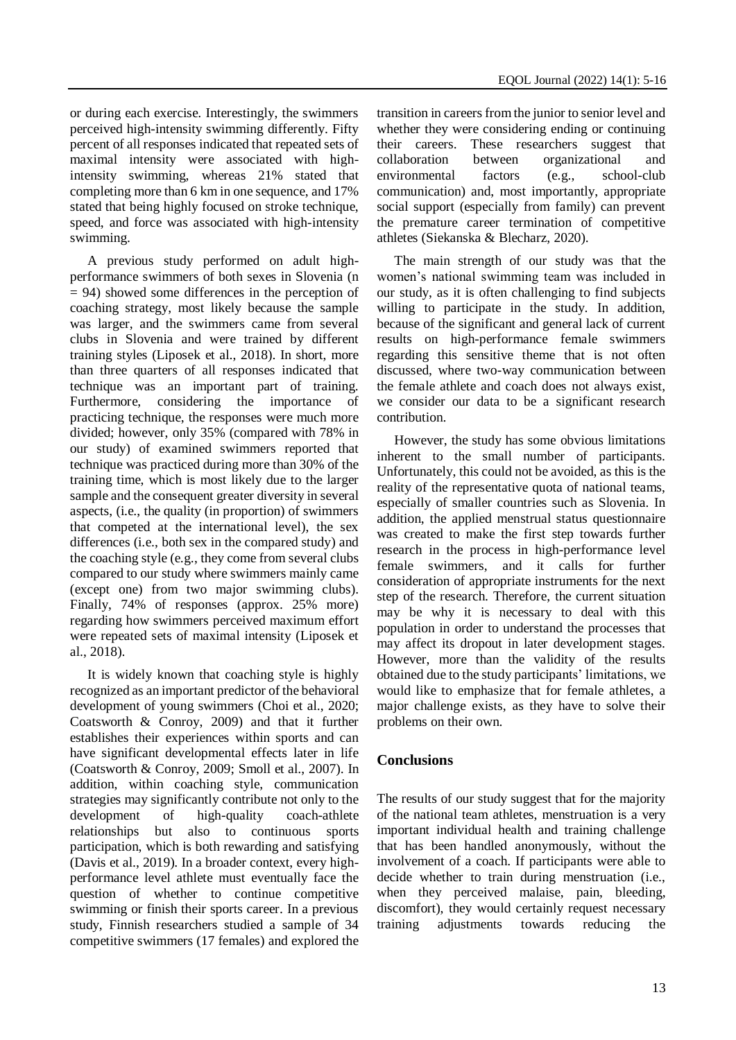or during each exercise. Interestingly, the swimmers perceived high-intensity swimming differently. Fifty percent of all responses indicated that repeated sets of maximal intensity were associated with highintensity swimming, whereas 21% stated that completing more than 6 km in one sequence, and 17% stated that being highly focused on stroke technique, speed, and force was associated with high-intensity swimming.

A previous study performed on adult highperformance swimmers of both sexes in Slovenia (n  $= 94$ ) showed some differences in the perception of coaching strategy, most likely because the sample was larger, and the swimmers came from several clubs in Slovenia and were trained by different training styles (Liposek et al., 2018). In short, more than three quarters of all responses indicated that technique was an important part of training. Furthermore, considering the importance of practicing technique, the responses were much more divided; however, only 35% (compared with 78% in our study) of examined swimmers reported that technique was practiced during more than 30% of the training time, which is most likely due to the larger sample and the consequent greater diversity in several aspects, (i.e., the quality (in proportion) of swimmers that competed at the international level), the sex differences (i.e., both sex in the compared study) and the coaching style (e.g., they come from several clubs compared to our study where swimmers mainly came (except one) from two major swimming clubs). Finally, 74% of responses (approx. 25% more) regarding how swimmers perceived maximum effort were repeated sets of maximal intensity (Liposek et al., 2018).

It is widely known that coaching style is highly recognized as an important predictor of the behavioral development of young swimmers (Choi et al., 2020; Coatsworth & Conroy, 2009) and that it further establishes their experiences within sports and can have significant developmental effects later in life (Coatsworth & Conroy, 2009; Smoll et al., 2007). In addition, within coaching style, communication strategies may significantly contribute not only to the development of high-quality coach-athlete relationships but also to continuous sports participation, which is both rewarding and satisfying (Davis et al., 2019). In a broader context, every highperformance level athlete must eventually face the question of whether to continue competitive swimming or finish their sports career. In a previous study, Finnish researchers studied a sample of 34 competitive swimmers (17 females) and explored the

transition in careers from the junior to senior level and whether they were considering ending or continuing their careers. These researchers suggest that collaboration between organizational and environmental factors (e.g., school-club communication) and, most importantly, appropriate social support (especially from family) can prevent the premature career termination of competitive athletes (Siekanska & Blecharz, 2020).

The main strength of our study was that the women's national swimming team was included in our study, as it is often challenging to find subjects willing to participate in the study. In addition, because of the significant and general lack of current results on high-performance female swimmers regarding this sensitive theme that is not often discussed, where two-way communication between the female athlete and coach does not always exist, we consider our data to be a significant research contribution.

However, the study has some obvious limitations inherent to the small number of participants. Unfortunately, this could not be avoided, as this is the reality of the representative quota of national teams, especially of smaller countries such as Slovenia. In addition, the applied menstrual status questionnaire was created to make the first step towards further research in the process in high-performance level female swimmers, and it calls for further consideration of appropriate instruments for the next step of the research. Therefore, the current situation may be why it is necessary to deal with this population in order to understand the processes that may affect its dropout in later development stages. However, more than the validity of the results obtained due to the study participants' limitations, we would like to emphasize that for female athletes, a major challenge exists, as they have to solve their problems on their own.

### **Conclusions**

The results of our study suggest that for the majority of the national team athletes, menstruation is a very important individual health and training challenge that has been handled anonymously, without the involvement of a coach. If participants were able to decide whether to train during menstruation (i.e., when they perceived malaise, pain, bleeding, discomfort), they would certainly request necessary training adjustments towards reducing the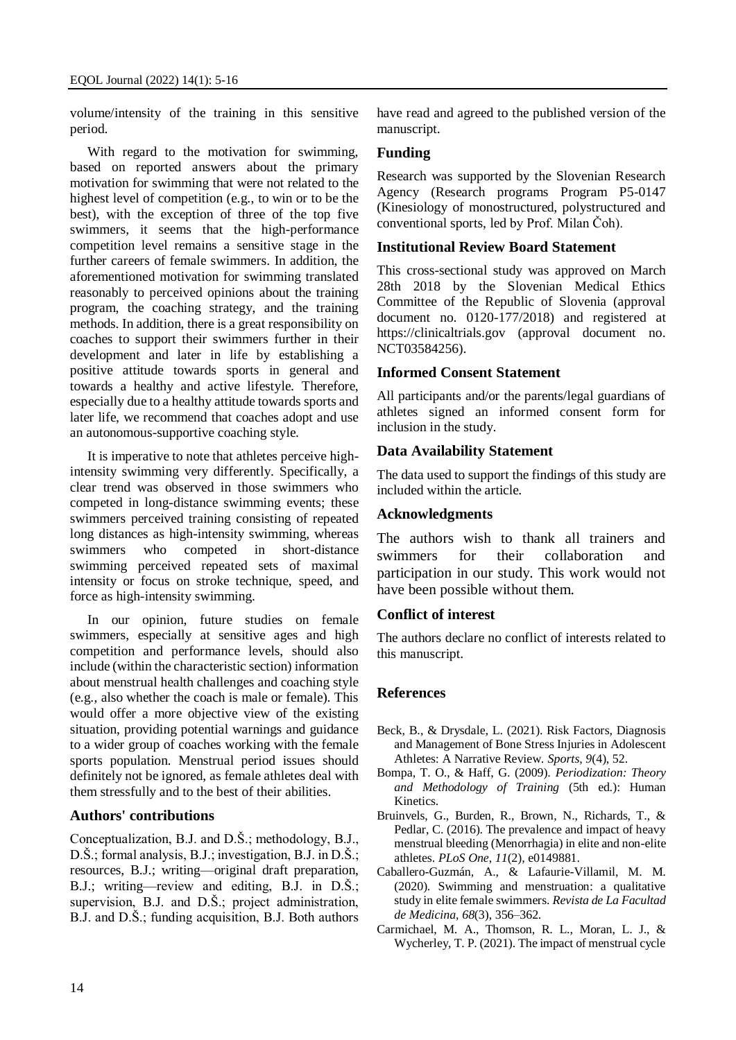volume/intensity of the training in this sensitive period.

With regard to the motivation for swimming, based on reported answers about the primary motivation for swimming that were not related to the highest level of competition (e.g., to win or to be the best), with the exception of three of the top five swimmers, it seems that the high-performance competition level remains a sensitive stage in the further careers of female swimmers. In addition, the aforementioned motivation for swimming translated reasonably to perceived opinions about the training program, the coaching strategy, and the training methods. In addition, there is a great responsibility on coaches to support their swimmers further in their development and later in life by establishing a positive attitude towards sports in general and towards a healthy and active lifestyle. Therefore, especially due to a healthy attitude towards sports and later life, we recommend that coaches adopt and use an autonomous-supportive coaching style.

It is imperative to note that athletes perceive highintensity swimming very differently. Specifically, a clear trend was observed in those swimmers who competed in long-distance swimming events; these swimmers perceived training consisting of repeated long distances as high-intensity swimming, whereas swimmers who competed in short-distance swimming perceived repeated sets of maximal intensity or focus on stroke technique, speed, and force as high-intensity swimming.

In our opinion, future studies on female swimmers, especially at sensitive ages and high competition and performance levels, should also include (within the characteristic section) information about menstrual health challenges and coaching style (e.g., also whether the coach is male or female). This would offer a more objective view of the existing situation, providing potential warnings and guidance to a wider group of coaches working with the female sports population. Menstrual period issues should definitely not be ignored, as female athletes deal with them stressfully and to the best of their abilities.

### **Authors' contributions**

Conceptualization, B.J. and D.Š.; methodology, B.J., D.Š.; formal analysis, B.J.; investigation, B.J. in D.Š.; resources, B.J.; writing—original draft preparation, B.J.; writing—review and editing, B.J. in D.Š.; supervision, B.J. and D.Š.; project administration, B.J. and D.Š.; funding acquisition, B.J. Both authors

have read and agreed to the published version of the manuscript.

### **Funding**

Research was supported by the Slovenian Research Agency (Research programs Program P5-0147 (Kinesiology of monostructured, polystructured and conventional sports, led by Prof. Milan Čoh).

### **Institutional Review Board Statement**

This cross-sectional study was approved on March 28th 2018 by the Slovenian Medical Ethics Committee of the Republic of Slovenia (approval document no. 0120-177/2018) and registered at https://clinicaltrials.gov (approval document no. NCT03584256).

### **Informed Consent Statement**

All participants and/or the parents/legal guardians of athletes signed an informed consent form for inclusion in the study.

### **Data Availability Statement**

The data used to support the findings of this study are included within the article.

### **Acknowledgments**

The authors wish to thank all trainers and swimmers for their collaboration and participation in our study. This work would not have been possible without them.

### **Conflict of interest**

The authors declare no conflict of interests related to this manuscript.

### **References**

- Beck, B., & Drysdale, L. (2021). Risk Factors, Diagnosis and Management of Bone Stress Injuries in Adolescent Athletes: A Narrative Review. *Sports*, *9*(4), 52.
- Bompa, T. O., & Haff, G. (2009). *Periodization: Theory and Methodology of Training* (5th ed.): Human Kinetics.
- Bruinvels, G., Burden, R., Brown, N., Richards, T., & Pedlar, C. (2016). The prevalence and impact of heavy menstrual bleeding (Menorrhagia) in elite and non-elite athletes. *PLoS One*, *11*(2), e0149881.
- Caballero-Guzmán, A., & Lafaurie-Villamil, M. M. (2020). Swimming and menstruation: a qualitative study in elite female swimmers. *Revista de La Facultad de Medicina*, *68*(3), 356–362.
- Carmichael, M. A., Thomson, R. L., Moran, L. J., & Wycherley, T. P. (2021). The impact of menstrual cycle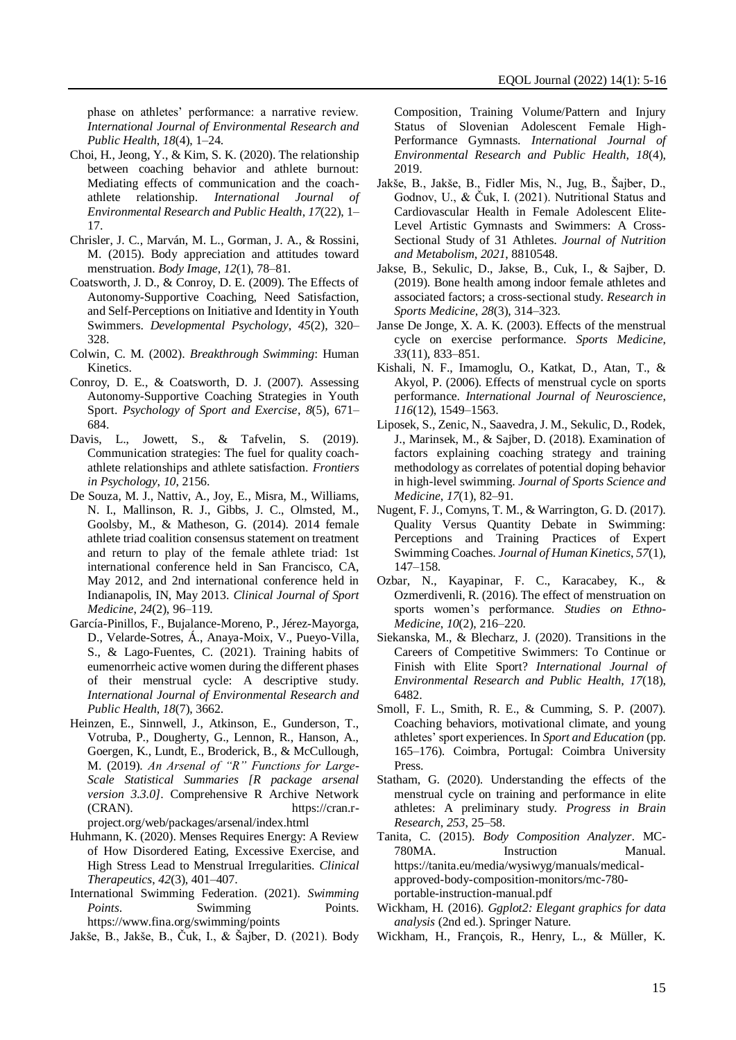phase on athletes' performance: a narrative review. *International Journal of Environmental Research and Public Health*, *18*(4), 1–24.

- Choi, H., Jeong, Y., & Kim, S. K. (2020). The relationship between coaching behavior and athlete burnout: Mediating effects of communication and the coachathlete relationship. *International Journal of Environmental Research and Public Health*, *17*(22), 1– 17.
- Chrisler, J. C., Marván, M. L., Gorman, J. A., & Rossini, M. (2015). Body appreciation and attitudes toward menstruation. *Body Image*, *12*(1), 78–81.
- Coatsworth, J. D., & Conroy, D. E. (2009). The Effects of Autonomy-Supportive Coaching, Need Satisfaction, and Self-Perceptions on Initiative and Identity in Youth Swimmers. *Developmental Psychology*, *45*(2), 320– 328.
- Colwin, C. M. (2002). *Breakthrough Swimming*: Human Kinetics.
- Conroy, D. E., & Coatsworth, D. J. (2007). Assessing Autonomy-Supportive Coaching Strategies in Youth Sport. *Psychology of Sport and Exercise*, *8*(5), 671– 684.
- Davis, L., Jowett, S., & Tafvelin, S. (2019). Communication strategies: The fuel for quality coachathlete relationships and athlete satisfaction. *Frontiers in Psychology*, *10*, 2156.
- De Souza, M. J., Nattiv, A., Joy, E., Misra, M., Williams, N. I., Mallinson, R. J., Gibbs, J. C., Olmsted, M., Goolsby, M., & Matheson, G. (2014). 2014 female athlete triad coalition consensus statement on treatment and return to play of the female athlete triad: 1st international conference held in San Francisco, CA, May 2012, and 2nd international conference held in Indianapolis, IN, May 2013. *Clinical Journal of Sport Medicine*, *24*(2), 96–119.
- García-Pinillos, F., Bujalance-Moreno, P., Jérez-Mayorga, D., Velarde-Sotres, Á., Anaya-Moix, V., Pueyo-Villa, S., & Lago-Fuentes, C. (2021). Training habits of eumenorrheic active women during the different phases of their menstrual cycle: A descriptive study. *International Journal of Environmental Research and Public Health*, *18*(7), 3662.
- Heinzen, E., Sinnwell, J., Atkinson, E., Gunderson, T., Votruba, P., Dougherty, G., Lennon, R., Hanson, A., Goergen, K., Lundt, E., Broderick, B., & McCullough, M. (2019). *An Arsenal of "R" Functions for Large-Scale Statistical Summaries [R package arsenal version 3.3.0]*. Comprehensive R Archive Network (CRAN). https://cran.rproject.org/web/packages/arsenal/index.html
- Huhmann, K. (2020). Menses Requires Energy: A Review of How Disordered Eating, Excessive Exercise, and High Stress Lead to Menstrual Irregularities. *Clinical Therapeutics*, *42*(3), 401–407.
- International Swimming Federation. (2021). *Swimming Points*. Swimming Points. https://www.fina.org/swimming/points

Jakše, B., Jakše, B., Čuk, I., & Šajber, D. (2021). Body

Composition, Training Volume/Pattern and Injury Status of Slovenian Adolescent Female High-Performance Gymnasts. *International Journal of Environmental Research and Public Health*, *18*(4), 2019.

- Jakše, B., Jakše, B., Fidler Mis, N., Jug, B., Šajber, D., Godnov, U., & Čuk, I. (2021). Nutritional Status and Cardiovascular Health in Female Adolescent Elite-Level Artistic Gymnasts and Swimmers: A Cross-Sectional Study of 31 Athletes. *Journal of Nutrition and Metabolism*, *2021*, 8810548.
- Jakse, B., Sekulic, D., Jakse, B., Cuk, I., & Sajber, D. (2019). Bone health among indoor female athletes and associated factors; a cross-sectional study. *Research in Sports Medicine*, *28*(3), 314–323.
- Janse De Jonge, X. A. K. (2003). Effects of the menstrual cycle on exercise performance. *Sports Medicine*, *33*(11), 833–851.
- Kishali, N. F., Imamoglu, O., Katkat, D., Atan, T., & Akyol, P. (2006). Effects of menstrual cycle on sports performance. *International Journal of Neuroscience*, *116*(12), 1549–1563.
- Liposek, S., Zenic, N., Saavedra, J. M., Sekulic, D., Rodek, J., Marinsek, M., & Sajber, D. (2018). Examination of factors explaining coaching strategy and training methodology as correlates of potential doping behavior in high-level swimming. *Journal of Sports Science and Medicine*, *17*(1), 82–91.
- Nugent, F. J., Comyns, T. M., & Warrington, G. D. (2017). Quality Versus Quantity Debate in Swimming: Perceptions and Training Practices of Expert Swimming Coaches. *Journal of Human Kinetics*, *57*(1), 147–158.
- Ozbar, N., Kayapinar, F. C., Karacabey, K., & Ozmerdivenli, R. (2016). The effect of menstruation on sports women's performance. *Studies on Ethno-Medicine*, *10*(2), 216–220.
- Siekanska, M., & Blecharz, J. (2020). Transitions in the Careers of Competitive Swimmers: To Continue or Finish with Elite Sport? *International Journal of Environmental Research and Public Health*, *17*(18), 6482.
- Smoll, F. L., Smith, R. E., & Cumming, S. P. (2007). Coaching behaviors, motivational climate, and young athletes' sport experiences. In *Sport and Education* (pp. 165–176). Coimbra, Portugal: Coimbra University Press.
- Statham, G. (2020). Understanding the effects of the menstrual cycle on training and performance in elite athletes: A preliminary study. *Progress in Brain Research*, *253*, 25–58.
- Tanita, C. (2015). *Body Composition Analyzer*. MC-780MA. Instruction Manual. https://tanita.eu/media/wysiwyg/manuals/medicalapproved-body-composition-monitors/mc-780 portable-instruction-manual.pdf
- Wickham, H. (2016). *Ggplot2: Elegant graphics for data analysis* (2nd ed.). Springer Nature.
- Wickham, H., François, R., Henry, L., & Müller, K.